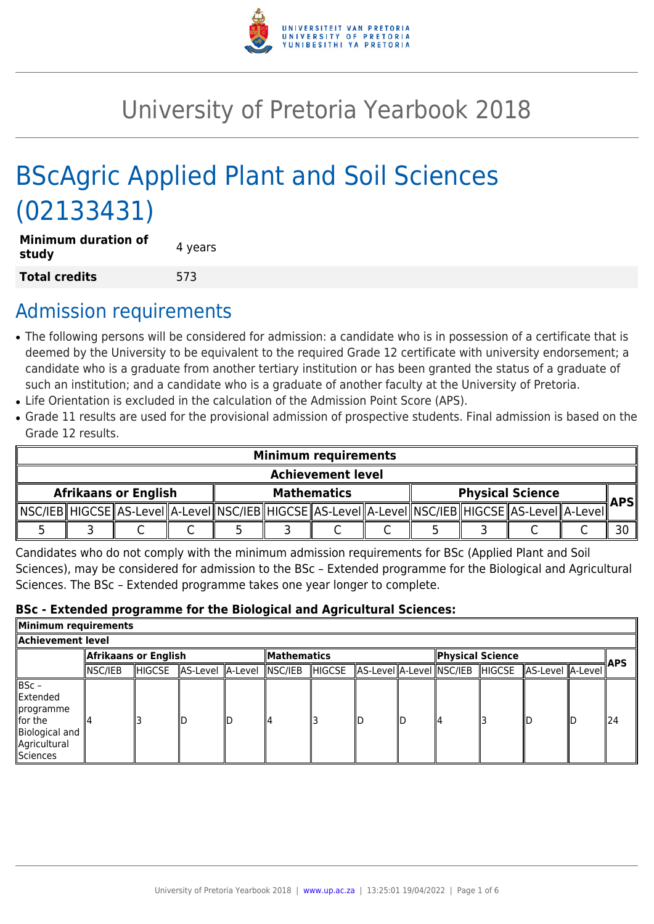

# University of Pretoria Yearbook 2018

# BScAgric Applied Plant and Soil Sciences (02133431)

| <b>Minimum duration of</b><br>study | 4 years |
|-------------------------------------|---------|
| <b>Total credits</b>                | 573     |

# Admission requirements

- The following persons will be considered for admission: a candidate who is in possession of a certificate that is deemed by the University to be equivalent to the required Grade 12 certificate with university endorsement; a candidate who is a graduate from another tertiary institution or has been granted the status of a graduate of such an institution; and a candidate who is a graduate of another faculty at the University of Pretoria.
- Life Orientation is excluded in the calculation of the Admission Point Score (APS).
- Grade 11 results are used for the provisional admission of prospective students. Final admission is based on the Grade 12 results.

| <b>Minimum requirements</b> |  |  |  |                    |  |                                                                                                            |  |                         |  |  |  |            |
|-----------------------------|--|--|--|--------------------|--|------------------------------------------------------------------------------------------------------------|--|-------------------------|--|--|--|------------|
| <b>Achievement level</b>    |  |  |  |                    |  |                                                                                                            |  |                         |  |  |  |            |
| <b>Afrikaans or English</b> |  |  |  | <b>Mathematics</b> |  |                                                                                                            |  | <b>Physical Science</b> |  |  |  |            |
|                             |  |  |  |                    |  | NSC/IEB  HIGCSE  AS-Level  A-Level  NSC/IEB  HIGCSE  AS-Level  A-Level  NSC/IEB  HIGCSE  AS-Level  A-Level |  |                         |  |  |  | <b>APS</b> |
|                             |  |  |  |                    |  |                                                                                                            |  |                         |  |  |  | 30         |

Candidates who do not comply with the minimum admission requirements for BSc (Applied Plant and Soil Sciences), may be considered for admission to the BSc – Extended programme for the Biological and Agricultural Sciences. The BSc – Extended programme takes one year longer to complete.

#### **BSc - Extended programme for the Biological and Agricultural Sciences:**

| Minimum requirements                                                                                    |                      |        |                          |  |                    |               |  |    |                                 |  |                  |  |      |
|---------------------------------------------------------------------------------------------------------|----------------------|--------|--------------------------|--|--------------------|---------------|--|----|---------------------------------|--|------------------|--|------|
| Achievement level                                                                                       |                      |        |                          |  |                    |               |  |    |                                 |  |                  |  |      |
|                                                                                                         | Afrikaans or English |        |                          |  | <b>Mathematics</b> |               |  |    | Physical Science                |  |                  |  |      |
|                                                                                                         | INSC/IEB             | HIGCSE | AS-Level A-Level NSC/IEB |  |                    | <b>HIGCSE</b> |  |    | AS-Level A-Level NSC/IEB HIGCSE |  | AS-Level A-Level |  | ∦APS |
| $ BSC -$<br>Extended<br><i>s</i> programme<br>llfor the<br>Biological and<br>Agricultural<br>llSciences |                      |        |                          |  | ll4                |               |  | ШD | 14                              |  |                  |  | 124  |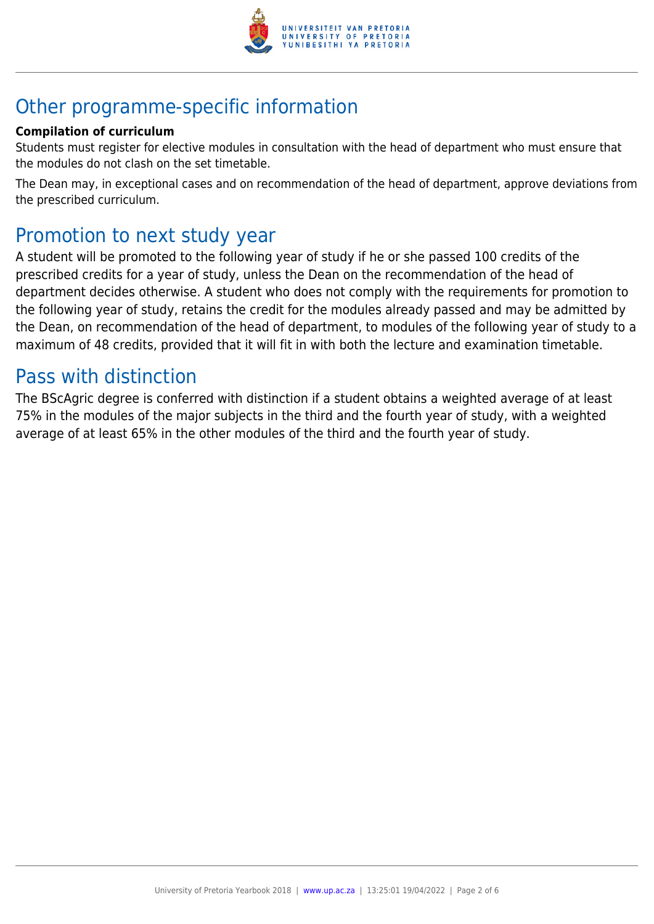

# Other programme-specific information

#### **Compilation of curriculum**

Students must register for elective modules in consultation with the head of department who must ensure that the modules do not clash on the set timetable.

The Dean may, in exceptional cases and on recommendation of the head of department, approve deviations from the prescribed curriculum.

# Promotion to next study year

A student will be promoted to the following year of study if he or she passed 100 credits of the prescribed credits for a year of study, unless the Dean on the recommendation of the head of department decides otherwise. A student who does not comply with the requirements for promotion to the following year of study, retains the credit for the modules already passed and may be admitted by the Dean, on recommendation of the head of department, to modules of the following year of study to a maximum of 48 credits, provided that it will fit in with both the lecture and examination timetable.

## Pass with distinction

The BScAgric degree is conferred with distinction if a student obtains a weighted average of at least 75% in the modules of the major subjects in the third and the fourth year of study, with a weighted average of at least 65% in the other modules of the third and the fourth year of study.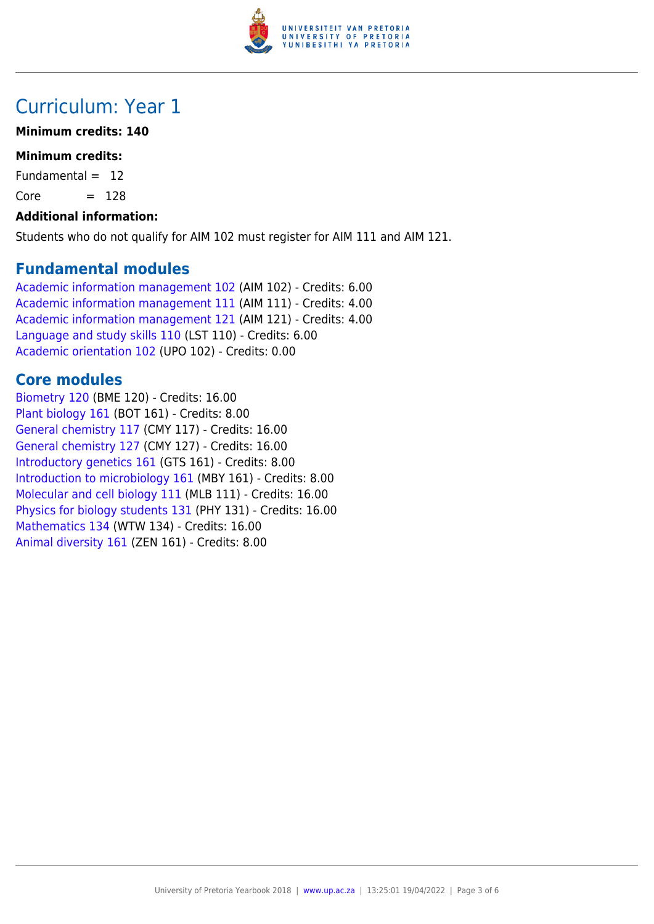

# Curriculum: Year 1

#### **Minimum credits: 140**

#### **Minimum credits:**

Fundamental  $= 12$ 

 $Core = 128$ 

#### **Additional information:**

Students who do not qualify for AIM 102 must register for AIM 111 and AIM 121.

#### **Fundamental modules**

[Academic information management 102](https://www.up.ac.za/yearbooks/2018/modules/view/AIM 102) (AIM 102) - Credits: 6.00 [Academic information management 111](https://www.up.ac.za/yearbooks/2018/modules/view/AIM 111) (AIM 111) - Credits: 4.00 [Academic information management 121](https://www.up.ac.za/yearbooks/2018/modules/view/AIM 121) (AIM 121) - Credits: 4.00 [Language and study skills 110](https://www.up.ac.za/yearbooks/2018/modules/view/LST 110) (LST 110) - Credits: 6.00 [Academic orientation 102](https://www.up.ac.za/yearbooks/2018/modules/view/UPO 102) (UPO 102) - Credits: 0.00

#### **Core modules**

[Biometry 120](https://www.up.ac.za/yearbooks/2018/modules/view/BME 120) (BME 120) - Credits: 16.00 [Plant biology 161](https://www.up.ac.za/yearbooks/2018/modules/view/BOT 161) (BOT 161) - Credits: 8.00 [General chemistry 117](https://www.up.ac.za/yearbooks/2018/modules/view/CMY 117) (CMY 117) - Credits: 16.00 [General chemistry 127](https://www.up.ac.za/yearbooks/2018/modules/view/CMY 127) (CMY 127) - Credits: 16.00 [Introductory genetics 161](https://www.up.ac.za/yearbooks/2018/modules/view/GTS 161) (GTS 161) - Credits: 8.00 [Introduction to microbiology 161](https://www.up.ac.za/yearbooks/2018/modules/view/MBY 161) (MBY 161) - Credits: 8.00 [Molecular and cell biology 111](https://www.up.ac.za/yearbooks/2018/modules/view/MLB 111) (MLB 111) - Credits: 16.00 [Physics for biology students 131](https://www.up.ac.za/yearbooks/2018/modules/view/PHY 131) (PHY 131) - Credits: 16.00 [Mathematics 134](https://www.up.ac.za/yearbooks/2018/modules/view/WTW 134) (WTW 134) - Credits: 16.00 [Animal diversity 161](https://www.up.ac.za/yearbooks/2018/modules/view/ZEN 161) (ZEN 161) - Credits: 8.00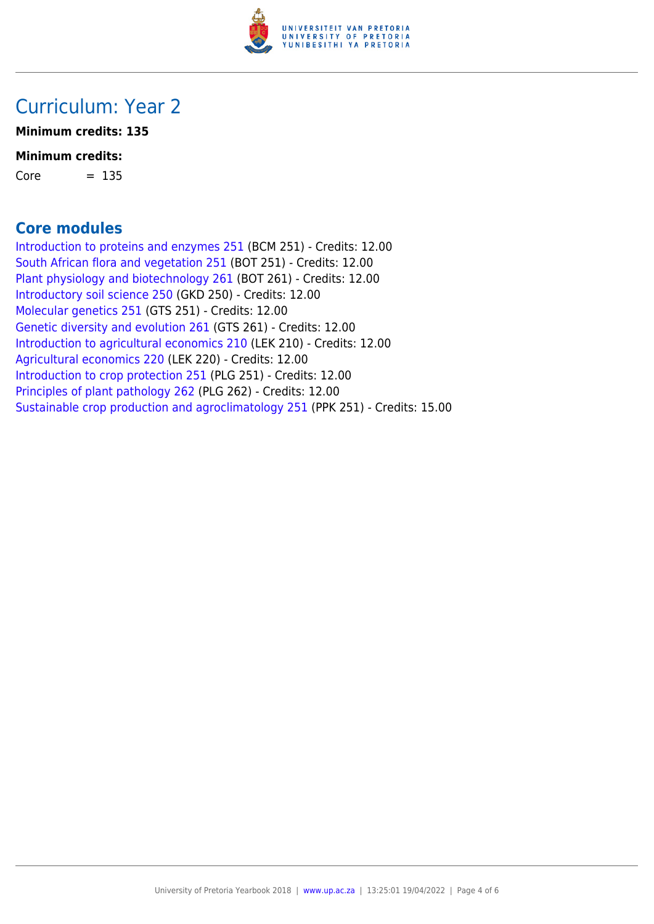

# Curriculum: Year 2

**Minimum credits: 135**

#### **Minimum credits:**

 $Core = 135$ 

#### **Core modules**

[Introduction to proteins and enzymes 251](https://www.up.ac.za/yearbooks/2018/modules/view/BCM 251) (BCM 251) - Credits: 12.00 [South African flora and vegetation 251](https://www.up.ac.za/yearbooks/2018/modules/view/BOT 251) (BOT 251) - Credits: 12.00 [Plant physiology and biotechnology 261](https://www.up.ac.za/yearbooks/2018/modules/view/BOT 261) (BOT 261) - Credits: 12.00 [Introductory soil science 250](https://www.up.ac.za/yearbooks/2018/modules/view/GKD 250) (GKD 250) - Credits: 12.00 [Molecular genetics 251](https://www.up.ac.za/yearbooks/2018/modules/view/GTS 251) (GTS 251) - Credits: 12.00 [Genetic diversity and evolution 261](https://www.up.ac.za/yearbooks/2018/modules/view/GTS 261) (GTS 261) - Credits: 12.00 [Introduction to agricultural economics 210](https://www.up.ac.za/yearbooks/2018/modules/view/LEK 210) (LEK 210) - Credits: 12.00 [Agricultural economics 220](https://www.up.ac.za/yearbooks/2018/modules/view/LEK 220) (LEK 220) - Credits: 12.00 [Introduction to crop protection 251](https://www.up.ac.za/yearbooks/2018/modules/view/PLG 251) (PLG 251) - Credits: 12.00 [Principles of plant pathology 262](https://www.up.ac.za/yearbooks/2018/modules/view/PLG 262) (PLG 262) - Credits: 12.00 [Sustainable crop production and agroclimatology 251](https://www.up.ac.za/yearbooks/2018/modules/view/PPK 251) (PPK 251) - Credits: 15.00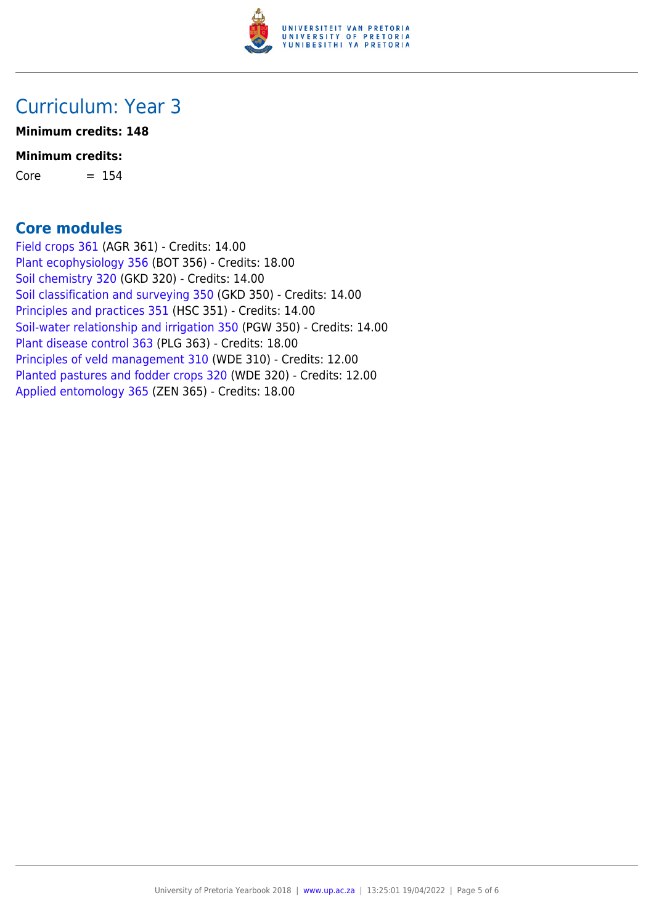

## Curriculum: Year 3

**Minimum credits: 148**

#### **Minimum credits:**

 $Core = 154$ 

#### **Core modules**

[Field crops 361](https://www.up.ac.za/yearbooks/2018/modules/view/AGR 361) (AGR 361) - Credits: 14.00 [Plant ecophysiology 356](https://www.up.ac.za/yearbooks/2018/modules/view/BOT 356) (BOT 356) - Credits: 18.00 [Soil chemistry 320](https://www.up.ac.za/yearbooks/2018/modules/view/GKD 320) (GKD 320) - Credits: 14.00 [Soil classification and surveying 350](https://www.up.ac.za/yearbooks/2018/modules/view/GKD 350) (GKD 350) - Credits: 14.00 [Principles and practices 351](https://www.up.ac.za/yearbooks/2018/modules/view/HSC 351) (HSC 351) - Credits: 14.00 [Soil-water relationship and irrigation 350](https://www.up.ac.za/yearbooks/2018/modules/view/PGW 350) (PGW 350) - Credits: 14.00 [Plant disease control 363](https://www.up.ac.za/yearbooks/2018/modules/view/PLG 363) (PLG 363) - Credits: 18.00 [Principles of veld management 310](https://www.up.ac.za/yearbooks/2018/modules/view/WDE 310) (WDE 310) - Credits: 12.00 [Planted pastures and fodder crops 320](https://www.up.ac.za/yearbooks/2018/modules/view/WDE 320) (WDE 320) - Credits: 12.00 [Applied entomology 365](https://www.up.ac.za/yearbooks/2018/modules/view/ZEN 365) (ZEN 365) - Credits: 18.00